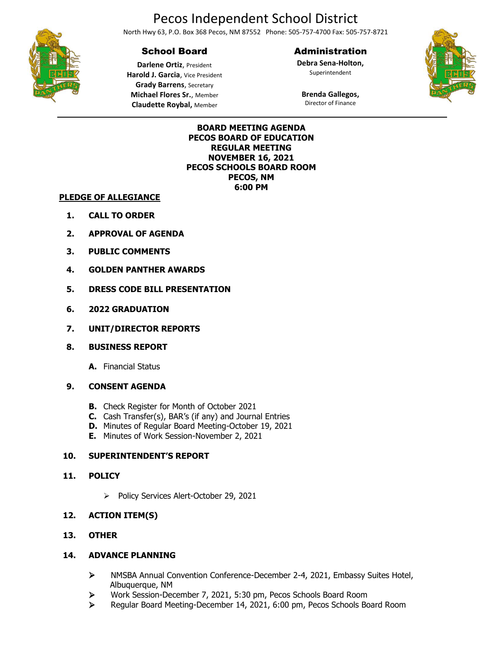# Pecos Independent School District

North Hwy 63, P.O. Box 368 Pecos, NM 87552 Phone: 505-757-4700 Fax: 505-757-8721

## School Board

## Administration

**Debra Sena-Holton,** Superintendent



**Brenda Gallegos,** Director of Finance



**Darlene Ortiz**, President **Harold J. Garcia**, Vice President **Grady Barrens**, Secretary **Michael Flores Sr.**, Member **Claudette Roybal,** Member

### **BOARD MEETING AGENDA PECOS BOARD OF EDUCATION REGULAR MEETING NOVEMBER 16, 2021 PECOS SCHOOLS BOARD ROOM PECOS, NM 6:00 PM**

### **PLEDGE OF ALLEGIANCE**

- **1. CALL TO ORDER**
- **2. APPROVAL OF AGENDA**
- **3. PUBLIC COMMENTS**
- **4. GOLDEN PANTHER AWARDS**
- **5. DRESS CODE BILL PRESENTATION**
- **6. 2022 GRADUATION**
- **7. UNIT/DIRECTOR REPORTS**
- **8. BUSINESS REPORT**
	- **A.** Financial Status

## **9. CONSENT AGENDA**

- **B.** Check Register for Month of October 2021
- **C.** Cash Transfer(s), BAR's (if any) and Journal Entries
- **D.** Minutes of Regular Board Meeting-October 19, 2021
- **E.** Minutes of Work Session-November 2, 2021

## **10. SUPERINTENDENT'S REPORT**

## **11. POLICY**

- ➢ Policy Services Alert-October 29, 2021
- **12. ACTION ITEM(S)**

## **13. OTHER**

## **14. ADVANCE PLANNING**

- ➢ NMSBA Annual Convention Conference-December 2-4, 2021, Embassy Suites Hotel, Albuquerque, NM
- ➢ Work Session-December 7, 2021, 5:30 pm, Pecos Schools Board Room
- ➢ Regular Board Meeting-December 14, 2021, 6:00 pm, Pecos Schools Board Room